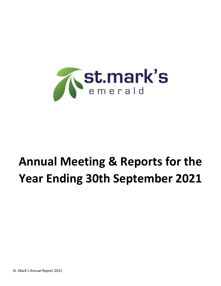

# **Annual Meeting & Reports for the Year Ending 30th September 2021**

St. Mark's Annual Report 2021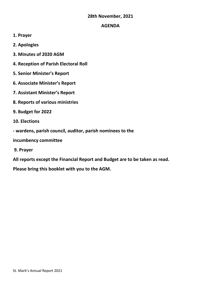# **28th November, 2021**

# **AGENDA**

- **1. Prayer**
- **2. Apologies**
- **3. Minutes of 2020 AGM**
- **4. Reception of Parish Electoral Roll**
- **5. Senior Minister's Report**
- **6. Associate Minister's Report**
- **7. Assistant Minister's Report**
- **8. Reports of various ministries**
- **9. Budget for 2022**
- **10. Elections**
- **- wardens, parish council, auditor, parish nominees to the**

# **incumbency committee**

**9. Prayer**

**All reports except the Financial Report and Budget are to be taken as read.** 

**Please bring this booklet with you to the AGM.**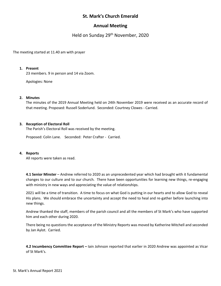# **St. Mark's Church Emerald**

# **Annual Meeting**

Held on Sunday 29<sup>th</sup> November, 2020

The meeting started at 11.40 am with prayer

#### **1. Present**

23 members. 9 in person and 14 via Zoom.

Apologies: None

#### **2. Minutes**

The minutes of the 2019 Annual Meeting held on 24th November 2019 were received as an accurate record of that meeting. Proposed: Russell Soderlund. Seconded: Courtney Clowes - Carried.

#### **3. Reception of Electoral Roll**

The Parish's Electoral Roll was received by the meeting.

Proposed: Colin Lane. Seconded: Peter Crafter - Carried.

#### **4. Reports**

All reports were taken as read.

**4.1 Senior Minster** – Andrew referred to 2020 as an unprecedented year which had brought with it fundamental changes to our culture and to our church. There have been opportunities for learning new things, re-engaging with ministry in new ways and appreciating the value of relationships.

2021 will be a time of transition. A time to focus on what God is putting in our hearts and to allow God to reveal His plans. We should embrace the uncertainty and accept the need to heal and re-gather before launching into new things.

Andrew thanked the staff, members of the parish council and all the members of St Mark's who have supported him and each other during 2020.

There being no questions the acceptance of the Ministry Reports was moved by Katherine Mitchell and seconded by Jan Aylot. Carried.

**4.2 Incumbency Committee Report –** Iain Johnson reported that earlier in 2020 Andrew was appointed as Vicar of St Mark's.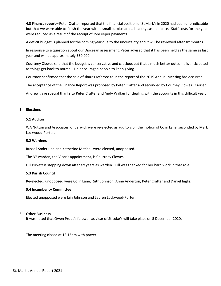**4.3 Finance report –** Peter Crafter reported that the financial position of St Mark's in 2020 had been unpredictable but that we were able to finish the year with a small surplus and a healthy cash balance. Staff costs for the year were reduced as a result of the receipt of JobKeeper payments.

A deficit budget is planned for the coming year due to the uncertainty and it will be reviewed after six months.

In response to a question about our Diocesan assessment, Peter advised that it has been held as the same as last year and will be approximately \$30,000.

Courtney Clowes said that the budget is conservative and cautious but that a much better outcome is anticipated as things get back to normal. He encouraged people to keep giving.

Courtney confirmed that the sale of shares referred to in the report of the 2019 Annual Meeting has occurred.

The acceptance of the Finance Report was proposed by Peter Crafter and seconded by Courney Clowes. Carried.

Andrew gave special thanks to Peter Crafter and Andy Walker for dealing with the accounts in this difficult year.

#### **5. Elections**

#### **5.1 Auditor**

WA Nutton and Associates, of Berwick were re-elected as auditors on the motion of Colin Lane, seconded by Mark Lockwood-Porter.

#### **5.2 Wardens**

Russell Soderlund and Katherine Mitchell were elected, unopposed.

The 3<sup>rd</sup> warden, the Vicar's appointment, is Courtney Clowes.

Gill Birkett is stepping down after six years as warden. Gill was thanked for her hard work in that role.

#### **5.3 Parish Council**

Re-elected, unopposed were Colin Lane, Ruth Johnson, Anne Anderton, Peter Crafter and Daniel Inglis.

#### **5.4 Incumbency Committee**

Elected unopposed were Iain Johnson and Lauren Lockwood-Porter.

#### **6. Other Business**

It was noted that Owen Prout's farewell as vicar of St Luke's will take place on 5 December 2020.

The meeting closed at 12:15pm with prayer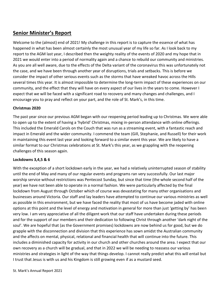# **Senior Minister's Report**

Welcome to the (almost) end of 2021! My challenge in this report is to capture the essence of what has happened in what has been almost certainly the most unusual year of my life so far. As I look back to my report to the AGM last year, I described then the weighty reality of the events of 2020 and my hope that in 2021 we would enter into a period of normality again and a chance to rebuild our community and ministries. As you are all well aware, due to the effects of the Delta variant of the coronavirus this was unfortunately not the case, and we have been through another year of disruptions, trials and setbacks. This is before we consider the impact of other serious events such as the storms that have wreaked havoc across the Hills several times this year. It is almost impossible to determine the long-term impact of these experiences on our community, and the effect that they will have on every aspect of our lives in the years to come. However I expect that we will be faced with a significant road to recovery and many changes and challenges, and I encourage you to pray and reflect on your part, and the role of St. Mark's, in this time.

# **Christmas 2020**

The past year since our previous AGM began with our reopening period leading up to Christmas. We were able to open up to the extent of having a 'hybrid' Christmas, mixing in-person attendance with online offerings. This included the Emerald Carols on the Couch that was run as a streaming event, with a fantastic reach and impact in Emerald and the wider community. I commend the team (Gill, Stephanie, and Russell) for their work in maintaining this event last year and looking forward to a similar event this year. We are likely to have a similar format to our Christmas celebrations at St. Mark's this year, as we grappling with the reopening challenges of this season again.

# **Lockdowns 3,4,5 & 6**

With the exception of a short lockdown early in the year, we had a relatively uninterrupted season of stability until the end of May and many of our regular events and programs ran very successfully. Our last major worship service without restrictions was Pentecost Sunday, but since that time (the whole second half of the year) we have not been able to operate in a normal fashion. We were particularly affected by the final lockdown from August through October which of course was devastating for many other organisations and businesses around Victoria. Our staff and lay leaders have attempted to continue our various ministries as well as possible in this environment, but we have faced the reality that most of us have become jaded with online options at this point and the level of energy and motivation in general for more than just 'getting by' has been very low. I am very appreciative of all the diligent work that our staff have undertaken during these periods and for the support of our members and their dedication to following Christ through another 'dark night of the soul'. We are hopeful that (as the Government promises) lockdowns are now behind us for good, but we do grapple with the disconnection and division that this experience has sown amidst the Australian community and the affects on mental, physical, relational and financial health that will continue into the future. This includes a diminished capacity for activity in our church and other churches around the area. I expect that our own recovery as a church will be gradual, and that in 2022 we will be needing to reassess our various ministries and strategies in light of the way that things develop. I cannot really predict what this will entail but I trust that Jesus is with us and his Kingdom is still growing even if as a mustard seed.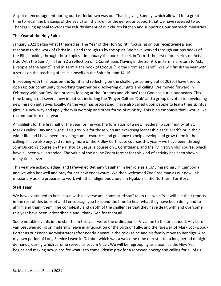A spot of encouragment during our last lockdown was our Thanksgiving Sunday, which allowed for a great time to recall the blessings of the year. I am thankful for the generous support that we have received to our Thanksgiving Appeal towards the refurbishment of our church kitchen and supporting our outreach ministries.

# **The Year of the Holy Spirit**

January 2021 began what I themed as 'The Year of the Holy Spirit', focussing on our receptiveness and response to the work of Christ in us and through us by the Spirit. We have worked through various books of the Bible looking through these topics – In January the book of Joel, in Term 1 the first of our series on Acts ('Go With the Spirit'), in Term 2 a reflection on 1 Corinthians ('Living in the Spirit'), in Term 3 a return to Acts ('People of the Spirit'), and in Term 4 the book of Exodus ('To the Promised Land'). We will finish the year with a series on the teaching of Jesus himself on the Spirit in John 14-16.

In keeping with this focus on the Spirit, and reflecting on the challenges coming out of 2020, I have tried to open up our community to working together on discovering our gifts and calling. We moved forward in February with our ReVision process looking at the 'Dreams and Visions' that God has put in our hearts. This time brought out several new initiatives including the 'Prayer Culture Club' and a group devoted to developing new mission initiatives locally. As the year has progressed I have also called upon people to learn their spiritual gifts in a new way and apply them in worship and other forms of ministry. This is an emphasis that I would like to continue into next year.

A highlight for the first half of the year for me was the formation of a new 'leadership community' at St. Mark's called 'Day and Night'. This group is for those who are exercising leadership at St. Mark's or in their wider life and I have been providing some resources and guidance to help develop and grow them in their calling. I have also enjoyed running more of the Ridley Certificate courses this year – we have been through John Dickson's course on the Historical Jesus, a course on 1 Corinthians, and the 'Ministry Skills' course, which have all been well attended. The value of the online Zoom format for this kind of activity has been shown many times over.

This year we acknowledged and farewelled Bethany Vaughan in her role as a CMS missionary in Cambodia, and we wish her well and pray for her new endeavours. We then welcomed Zoe Creelman as our new link missionary as she prepares to work with the indigenous church in Ngukurr in the Northern Territory.

# **Staff Team**

We have continued to be blessed with a diverse and committed staff team this year. You will see their reports in the rest of this booklet and I encourage you to spend the time to hear what they have been doing and to affirm and thank them. The complexity and depth of the challenges that they have dealt with and overcome this year have been indescribable and I thank God for them all.

Some notable events in the staff team this year were: the ordination of Vivianne to the priesthood, Ally Lord van Leeuwen going on maternity leave in anticipation of the birth of Tully, and the farewell of Mark Lockwood-Porter as our Parish Administrator (after nearly 2 years in the role) as he and his family move to Bendigo. Also my own period of Long Service Leave in October which was a welcome time of rest after a long period of high demands, during which Jerome served as Locum Vicar. We will be regrouping as a team as the New Year begins and making new plans for what is to come. Please pray for a renewed energy and calling for all of us.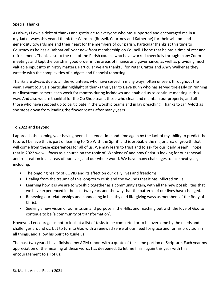## **Special Thanks**

As always I owe a debt of thanks and gratitude to everyone who has supported and encouraged me in a myriad of ways this year. I thank the Wardens (Russell, Courtney and Katherine) for their wisdom and generosity towards me and their heart for the members of our parish. Particular thanks at this time to Courtney as he has a 'sabbatical' year now from membership on Council. I hope that he has a time of rest and refreshment. Thanks also to the rest of the Parish council who have worked cheerfully through many Zoom meetings and kept the parish in good order in the areas of finance and governance, as well as providing much valuable input into ministry matters. Particular we are thankful for Peter Crafter and Andy Walker as they wrestle with the complexities of budgets and financial reporting.

Thanks are always due to all the volunteers who have served in many ways, often unseen, throughout the year. I want to give a particular highlight of thanks this year to Dave Bunn who has served tirelessly on running our livestream camera each week for months during lockdown and enabled us to continue meeting in this way. And also we are thankful for the Op Shop team, those who clean and maintain our property, and all those who have stepped up to participate in the worship teams and in lay preaching. Thanks to Jan Aylott as she steps down from leading the flower roster after many years.

# **To 2022 and Beyond**

I approach the coming year having been chastened time and time again by the lack of my ability to predict the future. I believe this is part of learning to 'Go With the Spirit' and is probably the major area of growth that will come from these experiences for all of us. We may learn to trust and to ask for our 'daily bread'. I hope that in 2022 we will focus as a church on the topic of 'Wholeness' and how Christ is looking for our renewal and re-creation in all areas of our lives, and our whole world. We have many challenges to face next year, including:

- The ongoing reality of COVID and its affect on our daily lives and freedoms.
- Healing from the trauma of this long-term crisis and the wounds that it has inflicted on us.
- Learning how it is we are to worship together as a community again, with all the new possibilities that we have experienced in the past two years and the way that the patterns of our lives have changed.
- Renewing our relationships and connecting in healthy and life-giving ways as members of the Body of Christ.
- Seeking a new vision of our mission and purpose in the Hills, and reaching out with the love of God to continue to be 'a community of transformation'.

However, I encourage us not to look at a list of tasks to be completed or to be overcome by the needs and challenges around us, but to turn to God with a renewed sense of our need for grace and for his provision in all things, and allow his Spirit to guide us.

The past two years I have finished my AGM report with a quote of the same portion of Scripture. Each year my appreciation of the meaning of these words has deepened. So let me finish again this year with this encouragement to all of us: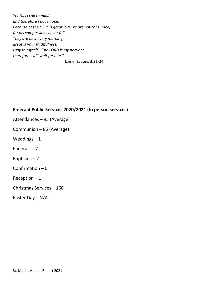*Yet this I call to mind and therefore I have hope: Because of the LORD's great love we are not consumed, for his compassions never fail. They are new every morning; great is your faithfulness. I say to myself, "The LORD is my portion; therefore I will wait for him."*

Lamentations 3:21-24

# **Emerald Public Services 2020/2021 (In person services)**

- Attendances 95 (Average)
- Communion 85 (Average)
- Weddings  $-1$
- Funerals 7
- Baptisms 2
- Confirmation 0
- Reception  $-1$
- Christmas Services 160
- Easter Day N/A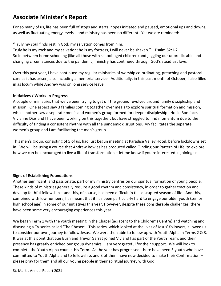# **Associate Minister's Report**

For so many of us, life has been full of stops and starts, hopes initiated and paused, emotional ups and downs, as well as fluctuating energy levels …and ministry has been no different. Yet we are reminded:

"Truly my soul finds rest in God; my salvation comes from him.

Truly he is my rock and my salvation; he is my fortress, I will never be shaken." – Psalm 62:1-2 So in between home schooling (like all those with school-aged children) and juggling our unpredictable and changing circumstances due to the pandemic, ministry has continued through God's steadfast love.

Over this past year, I have continued my regular ministries of worship co-ordinating, preaching and pastoral care as it has arisen, also including a memorial service. Additionally, in this past month of October, I also filled in as locum while Andrew was on long service leave.

# **Initiatives / Works-in-Progress**

A couple of ministries that we've been trying to get off the ground revolved around family discipleship and mission. One aspect saw 3 families coming together over meals to explore spiritual formation and mission, while another saw a separate men's and women's group formed for deeper discipleship. Hollie Boniface, Vivianne Dias and I have been working on this together, but have struggled to find momentum due to the difficulty of finding a consistent rhythm with all the pandemic disruptions. Viv facilitates the separate women's group and I am facilitating the men's group.

This men's group, consisting of 5 of us, had just begun meeting at Paradise Valley Hotel, before lockdowns set in. We will be using a course that Andrew Bowles has produced called 'Finding our Pattern of Life' to explore how we can be encouraged to live a life of transformation – let me know if you're interested in joining us!

# **Signs of Establishing Foundations**

Another significant, and passionate, part of my ministry centres on our spiritual formation of young people. These kinds of ministries generally require a good rhythm and consistency, in order to gather traction and develop faithful fellowship – and this, of course, has been difficult in this disrupted season of life. And this, combined with low numbers, has meant that it has been particularly hard to engage our older youth (senior high school age) in some of our initiatives this year. However, despite these considerable challenges, there have been some very encouraging experiences this year.

We began Term 1 with the youth meeting in the Chapel (adjacent to the Children's Centre) and watching and discussing a TV series called 'The Chosen'. This series, which looked at the lives of Jesus' followers, allowed us to consider our own journey to follow Jesus. We were then able to follow up with Youth Alpha in Terms 2 & 3. It was at this point that Sue Bush and Trevor Garrat joined Viv and I as part of the Youth Team, and their presence has greatly enriched our group dynamics. I am very grateful for their support. We will look to complete the Youth Alpha course this Term. As the year has progressed, there have been 5 youth who have committed to Youth Alpha and to fellowship, and 3 of them have now decided to make their Confirmation – please pray for them and all our young people in their spiritual journey with God.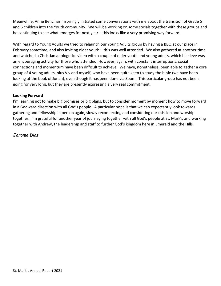Meanwhile, Anne Benc has inspiringly initiated some conversations with me about the transition of Grade 5 and 6 children into the Youth community. We will be working on some socials together with these groups and be continuing to see what emerges for next year – this looks like a very promising way forward.

With regard to Young Adults we tried to relaunch our Young Adults group by having a BBQ at our place in February sometime, and also inviting older youth – this was well attended. We also gathered at another time and watched a Christian apologetics video with a couple of older youth and young adults, which I believe was an encouraging activity for those who attended. However, again, with constant interruptions, social connections and momentum have been difficult to achieve. We have, nonetheless, been able to gather a core group of 4 young adults, plus Viv and myself, who have been quite keen to study the bible (we have been looking at the book of Jonah), even though it has been done via Zoom. This particular group has not been going for very long, but they are presently expressing a very real commitment.

# **Looking Forward**

I'm learning not to make big promises or big plans, but to consider moment by moment how to move forward in a Godward direction with all God's people. A particular hope is that we can expectantly look towards gathering and fellowship in person again, slowly reconnecting and considering our mission and worship together. I'm grateful for another year of journeying together with all God's people at St. Mark's and working together with Andrew, the leadership and staff to further God's kingdom here in Emerald and the Hills.

*Jerome Dias*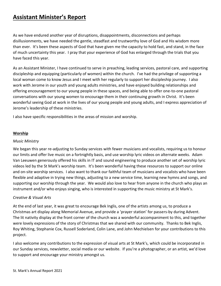# **Assistant Minister's Report**

As we have endured another year of disruptions, disappointments, disconnections and perhaps disillusionments, we have needed the gentle, steadfast and trustworthy love of God and His wisdom more than ever. It's been these aspects of God that have given me the capacity to hold fast, and stand, in the face of much uncertainty this year. I pray that your experience of God has enlarged through the trials that you have faced this year.

As an Assistant Minister, I have continued to serve in preaching, leading services, pastoral care, and supporting discipleship and equipping (particularly of women) within the church. I've had the privilege of supporting a local woman come to know Jesus and I meet with her regularly to support her discipleship journey. I also work with Jerome in our youth and young adults ministries, and have enjoyed building relationships and offering encouragement to our young people in these spaces, and being able to offer one-to-one pastoral conversations with our young women to encourage them in their continuing growth in Christ. It's been wonderful seeing God at work in the lives of our young people and young adults, and I express appreciation of Jerome's leadership of these ministries.

I also have specific responsibilities in the areas of mission and worship.

## **Worship**

#### *Music Ministry*

We began this year re-adjusting to Sunday services with fewer musicians and vocalists, requiring us to honour our limits and offer live music on a fortnightly basis, and use worship lyric videos on alternate weeks. Adam Van Leeuwen generously offered his skills in IT and sound engineering to produce another set of worship lyric videos led by the St Mark's worship team. It's been wonderful having these resources to support our online and on-site worship services. I also want to thank our faithful team of musicians and vocalists who have been flexible and adaptive in trying new things, adjusting to a new service time, learning new hymns and songs, and supporting our worship through the year. We would also love to hear from anyone in the church who plays an instrument and/or who enjoys singing, who is interested in supporting the music ministry at St Mark's.

## *Creative & Visual Arts*

At the end of last year, it was great to encourage Bek Inglis, one of the artists among us, to produce a Christmas art display along Memorial Avenue, and provide a 'prayer station' for passers-by during Advent. The lit nativity display at the front corner of the church was a wonderful accompaniment to this, and together were lovely expressions of the story of Christmas that we shared with our community. Thanks to Bek Inglis, Roy Whiting, Stephanie Cox, Russell Soderland, Colin Lane, and John Mechielsen for your contributions to this project.

I also welcome any contributions to the expression of visual arts at St Mark's, which could be incorporated in our Sunday services, newsletter, social media or our website. If you're a photographer, or an artist, we'd love to support and encourage your ministry amongst us.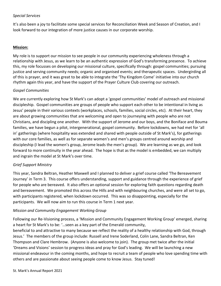# *Special Services*

It's also been a joy to facilitate some special services for Reconciliation Week and Season of Creation, and I look forward to our integration of more justice causes in our corporate worship.

## **Mission:**

My role is to support our mission to see people in our community experiencing wholeness through a relationship with Jesus, as we learn to be an authentic expression of God's transforming presence. To achieve this, my role focusses on developing our missional culture, specifically through: gospel communities; pursuing justice and serving community needs; organic and organised events; and therapeutic spaces. Undergirding all of this is prayer, and it was great to be able to integrate the 'Thy Kingdom Come' initiative into our church rhythm again this year, and have the support of the Prayer Culture Club covering our outreach.

## *Gospel Communities*

We are currently exploring how St Mark's can adopt a 'gospel communities' model of outreach and missional discipleship. Gospel communities are groups of people who support each other to be intentional in living as Jesus' people in their various contexts (workplaces, schools, families, social circles, etc). At their heart, they are about growing communities that are welcoming and open to journeying with people who are not Christians, and discipling one another. With the support of Jerome and our boys, and the Boniface and Bouma families, we have begun a pilot, intergenerational, gospel community. Before lockdowns, we had met for 'all in' gatherings (where hospitality was extended and shared with people outside of St Mark's), for gatherings with our core families, as well as for separate women's and men's groups centred around worship and discipleship (I lead the women's group, Jerome leads the men's group). We are learning as we go, and look forward to more continuity in the year ahead. The hope is that as the model is embedded, we can multiply and ingrain the model at St Mark's over time.

## *Grief Support Ministry*

This year, Sandra Beltran, Heather Maxwell and I planned to deliver a grief course called 'The Bereavement Journey' in Term 3. This course offers understanding, support and guidance through the experience of grief for people who are bereaved. It also offers an optional session for exploring faith questions regarding death and bereavement. We promoted this across the Hills and with neighbouring churches, and were all set to go, with participants registered, when lockdown occurred. This was so disappointing, especially for the participants. We will now aim to run this course in Term 1 next year.

## *Mission and Community Engagement Working Group*

Following our Re-Visioning process, a 'Mission and Community Engagement Working Group' emerged, sharing a heart for St Mark's to be: '…seen as a key part of the Emerald community,

beneficial to and attractive to many because we reflect the reality of a healthy relationship with God, through Jesus.' The members of the group include: Russell and Irene Soderland, Colin Lane, Sandra Beltran, Ken Thompson and Clare Hembrow. (Anyone is also welcome to join). The group met twice after the initial 'Dreams and Visions' session to progress ideas and pray for God's leading. We will be launching a new missional endeavour in the coming months, and hope to recruit a team of people who love spending time with others and are passionate about seeing people come to know Jesus. Stay tuned!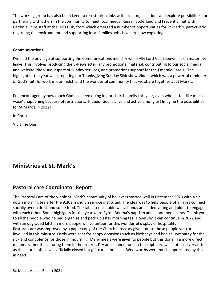The working group has also been keen to re-establish links with local organisations and explore possibilities for partnering with others in the community to meet local needs. Russell Soderland and I recently met with Cardinia Shire staff at the Hills Hub, from which emerged a number of opportunities for St Mark's, particularly regarding the environment and supporting local families, which we are now exploring.

## **Communications**

I've had the privilege of supporting the Communications ministry while Ally Lord Van Leeuwen is on maternity leave. This involves producing the E-Newsletter, any promotional material, contributing to our social media and website, the visual aspect of Sunday services, and promotions support for the Emerald Carols. The highlight of the year was preparing our Thanksgiving Sunday Slideshow Video, which was a powerful reminder of God's faithful work in our midst, and the wonderful community that we share together at St Mark's.

I'm encouraged by how much God has been doing in our church family this year, even when it felt like much wasn't happening because of restrictions. Indeed, God is alive and active among us! Imagine the possibilities for St Mark's in 2022!

In Christ,

Vivianne Dias.

# **Ministries at St. Mark's**

# **Pastoral care Coordinator Report**

The Pastoral Care of the whole St. Mark's community of believers started well in December 2020 with a sitdown morning tea after the 9:30am church service instituted. The idea was to help people of all ages connect socially over a drink and some food. The table tennis table was a bonus and aided young and older to engage with each other. Some highlights for the year were Byron Bouma's baptism and spontaneous pray. Thank you to all the people who helped organise and pack up after morning tea. Hopefully it can continue in 2022 and with an upgraded kitchen more people will volunteer for this wonderful display of hospitality. Pastoral care was improved by a paper copy of the Church directory given out to those people who are involved in this ministry. Cards were sent for happy occasions such as birthdays and babies, sympathy for the sick and condolence for those in mourning. Many meals were given to people but this done in a more direct manner rather than storing them in the freezer. Dry and canned food in the cupboard was not used very often as the church office was officially closed but gift cards for use at Woolworths were much appreciated by those in need.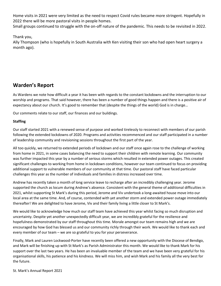Home visits in 2021 were very limited as the need to respect Covid rules became more stringent. Hopefully in 2022 there will be more pastoral visits in people homes.

Small groups continued to struggle with the on-off nature of the pandemic. This needs to be revisited in 2022.

Thank you,

Ally Thompson (who is hopefully in South Australia with Ken visiting their son who had open heart surgery a month ago).

# **Warden's Report**

As Wardens we note how difficult a year it has been with regards to the constant lockdowns and the interruption to our worship and programs. That said however, there has been a number of good things happen and there is a positive air of expectancy about our church. It's good to remember that (despite the things of the world) God is in charge…

Our comments relate to our staff, our finances and our buildings.

# **Staffing**

Our staff started 2021 with a renewed sense of purpose and worked tirelessly to reconnect with members of our parish following the extended lockdowns of 2020. Programs and activities recommenced and our staff participated in a number of leadership community and revisioning sessions throughout the first part of the year.

All too quickly, we returned to extended periods of lockdown and our staff once again rose to the challenge of working from home in 2021, in some cases balancing the need to support their children with remote learning. Our community was further impacted this year by a number of serious storms which resulted in extended power outages. This created significant challenges to working from home in lockdown conditions, however our team continued to focus on providing additional support to vulnerable members of our community at that time. Our pastoral staff have faced particular challenges this year as the number of individuals and families in distress increased over time.

Andrew has recently taken a month of long service leave to recharge after an incredibly challenging year. Jerome supported the church as locum during Andrew's absence. Consistent with the general theme of additional difficulties in 2021, whilst supporting St Mark's during this period, Jerome and Viv undertook a long-awaited house move into our local area at the same time. And, of course, contended with yet another storm and extended power outage immediately thereafter! We are delighted to have Jerome, Viv and their family living a little closer to St Mark's.

We would like to acknowledge how much our staff team have achieved this year whilst facing so much disruption and uncertainty. Despite yet another unexpectedly difficult year, we are incredibly grateful for the resilience and hopefulness demonstrated by our staff throughout this time. Morale amongst our team remains high and we are encouraged by how God has blessed us and our community richly through their work. We would like to thank each and every member of our team – we are so grateful to you for your perseverance.

Finally, Mark and Lauren Lockwood-Porter have recently been offered a new opportunity with the Diocese of Bendigo, and Mark will be finishing up with St Mark's as Parish Administrator this month. We would like to thank Mark for his support over the last two years. He has been an invaluable member of the team and we have been very grateful for his organisational skills, his patience and his kindness. We will miss him, and wish Mark and his family all the very best for the future.

St. Mark's Annual Report 2021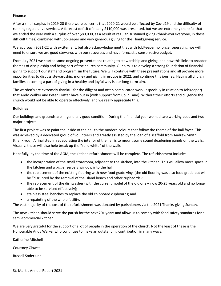#### **Finance**

After a small surplus in 2019-20 there were concerns that 2020-21 would be affected by Covid19 and the difficulty of running regular, live services. A forecast deficit of nearly \$110,000 was presented, but we are extremely thankful that we ended the year with a surplus of over \$80,000, as a result of regular, sustained giving (thank-you everyone, in these difficult times) combined with JobKeeper and very generous giving for the Thanksgiving service.

We approach 2021-22 with excitement, but also acknowledgement that with JobKeeper no longer operating, we will need to ensure we are good stewards with our resources and have forecast a conservative budget.

From July 2021 we started some ongoing presentations relating to stewardship and giving, and how this links to broader themes of discipleship and being part of the church community. Our aim is to develop a strong foundation of financial giving to support our staff and program sin the future. We will continue with these presentations and all provide more opportunities to discuss stewardship, money and giving in groups in 2022, and continue this journey. Having all church families becoming a part of giving in a healthy and joyful way is our long-term aim.

The warden's are extremely thankful for the diligent and often complicated work (especially in relation to JobKeeper) that Andy Walker and Peter Crafter have put in (with support from Colin Lane). Without their efforts and diligence the church would not be able to operate effectively, and we really appreciate this.

#### **Buildings**

Our buildings and grounds are in generally good condition. During the financial year we had two working bees and two major projects.

The first project was to paint the inside of the hall to the modern colours that follow the theme of the hall foyer. This was achieved by a dedicated group of volunteers and greatly assisted by the loan of a scaffold from Andrew Smith (thank you). A final step in redecorating the interior of the hall is to mount some sound deadening panels on the walls. Visually, these will also help break up the "solid white" of the walls.

Hopefully, by the time of the AGM, the kitchen refurbishment will be complete. The refurbishment includes:

- the incorporation of the small storeroom, adjacent to the kitchen, into the kitchen. This will allow more space in the kitchen and a bigger servery window into the hall ;
- the replacement of the existing flooring with new food grade vinyl (the old flooring was also food grade but will be "disrupted by the removal of the island bench and other cupbaords);
- the replacement of the dishwasher (with the current model of the old one now 20-25 years old and no longer able to be serviced effectively);
- stainless steel benches to replace the old chipboard cupboards; and
- a repainting of the whole facility.

The vast majority of the cost of the refurbishment was donated by parishioners via the 2021 Thanks-giving Sunday.

The new kitchen should serve the parish for the next 20+ years and allow us to comply with food safety standards for a semi-commercial kitchen.

We are very grateful for the support of a lot of people in the operation of the church. Not the least of these is the Honourable Andy Walker who continues to make an outstanding contribution in many ways.

Katherine Mitchell

Courtney Clowes

Russell Soderlund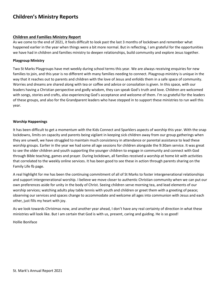# **Children's Ministry Reports**

#### **Children and Families Ministry Report**

As we come to the end of 2021, it feels difficult to look past the last 3 months of lockdown and remember what happened earlier in the year when things were a bit more normal. But in reflecting, I am grateful for the opportunities we have had in children and families ministry to deepen relationships, build community and explore Jesus together.

#### **Playgroup Ministry**

Two St Marks Playgroups have met weekly during school terms this year. We are always receiving enquiries for new families to join, and this year is no different with many families needing to connect. Playgroup ministry is unique in the way that it reaches out to parents and children with the love of Jesus and enfolds them in a safe space of community. Worries and dreams are shared along with tea or coffee and advice or consolation is given. In this space, with our leaders having a Christian perspective and godly wisdom, they can speak God's truth and love. Children are welcomed with songs, stories and crafts, also experiencing God's acceptance and welcome of them. I'm so grateful for the leaders of these groups, and also for the Grandparent leaders who have stepped in to support these ministries to run well this year.

#### **Worship Happenings**

It has been difficult to get a momentum with the Kids Connect and Sparklers aspects of worship this year. With the snap lockdowns, limits on capacity and parents being vigilant in keeping sick children away from our group gatherings when they are unwell, we have struggled to maintain much consistency in attendance or parental assistance to lead these worship groups. Earlier in the year we had some all age sessions for children alongside the 9:30am service. It was great to see the older children and youth supporting the younger children to engage in community and connect with God through Bible teaching, games and prayer. During lockdown, all families received a worship at home kit with activities that correlated to the weekly online services. It has been good to see these in action through parents sharing on the Family Life fb page.

A real highlight for me has been the continuing commitment of all of St Marks to foster intergenerational relationships and support intergenerational worship. I believe we move closer to authentic Christian community when we can put our own preferences aside for unity in the body of Christ. Seeing children serve morning tea, and lead elements of our worship services; watching adults play table tennis with youth and children or greet them with a greeting of peace; observing our services and spaces change to accommodate and welcome all ages into communion with Jesus and each other, just fills my heart with joy.

As we look towards Christmas now, and another year ahead, I don't have any real certainty of direction in what these ministries will look like. But I am certain that God is with us, present, caring and guiding. He is so good!

Hollie Boniface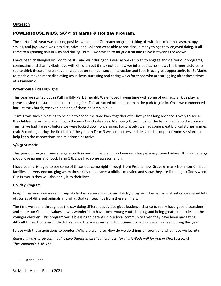#### **Outreach**

## POWERHOUSE KIDS, 5/6/ @ St Marks & Holiday Program.

The start of this year was looking positive with all our Outreach programs taking off with lots of enthusiasm, happy smiles, and joy. Covid was less disruptive, and Children were able to socialise in many things they enjoyed doing. It all came to a grinding halt in May and during Term 3 we started to fatigue a bit and relive last year's Lockdown.

I have been challenged by God to be still and wait during this year as we can plan to engage and deliver our programs, connecting and sharing Gods love with Children but it may not be how we intended as he knows the bigger picture. Its sad to think these children have missed out on so much social interaction and I see it as a great opportunity for St Marks to reach out even more displaying Jesus' love, nurturing and caring ways for those who are struggling after these times of a Pandemic.

#### **Powerhouse Kids Highlights**

This year we started out in Puffing Billy Park Emerald. We enjoyed having time with some of our regular kids playing games having treasure hunts and creating fun. This attracted other children in the park to join in. Once we commenced back at the Church, we even had one of those children join us.

Term 1 was such a blessing to be able to spend the time back together after last year's long absence. Lovely to see all the children return and adapting to the new Covid safe rules. Managing to get most of the term in with no disruptions. Term 2 we had 4 weeks before we were locked down once again. Fortunately, we had some great biblical stories, games craft & cooking during the first half of the year. In Term 3 we sent Letters and delivered a couple of zoom sessions to help keep the connections and relationships active.

#### **5/6 @ St Marks**

This year our program saw a large growth in our numbers and has been very busy & noisy some Fridays. This high energy group love games and food. Term 1 & 2 we had some awesome fun.

I have been privileged to see some of these kids come right through from Prep to now Grade 6, many from non-Christian families. It's very encouraging when these kids can answer a biblical question and show they are listening to God's word. Our Prayer is they will also apply it to their lives.

#### **Holiday Program**

In April this year a very keen group of children came along to our Holiday program. Themed animal antics we shared lots of stories of different animals and what God can teach us from these animals.

The time we spend throughout the day doing different activities gives leaders a chance to really have good discussions and share our Christian values. It was wonderful to have some young youth helping and being great role models to the younger children. This program was a blessing to parents in our local community given they have been navigating difficult times. However, little did we know there was more difficult times (lockdowns again) ahead during this year.

I close with these questions to ponder…Why are we here? How do we do things different and what have we learnt?

*Rejoice always, pray continually, give thanks in all circumstances, for this is Gods will for you in Christ Jesus.* (*1 Thessalonian's 5 16-18)*

*-* Anne Benc

St. Mark's Annual Report 2021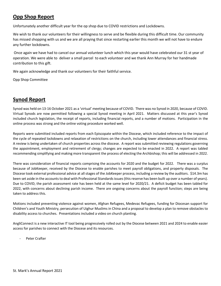# **Opp Shop Report**

Unfortunately another difficult year for the op shop due to COVID restrictions and Lockdowns.

We wish to thank our volunteers for their willingness to serve and be flexible during this difficult time. Our community has missed shopping with us and we are all praying that since restarting earlier this month we will not have to endure any further lockdowns.

Once again we have had to cancel our annual volunteer lunch which this year would have celebrated our 31 st year of operation. We were able to deliver a small parcel to each volunteer and we thank Ann Murray for her handmade contribution to this gift.

We again acknowledge and thank our volunteers for their faithful service.

Opp Shop Committee

# **Synod Report**

Synod was held on 13-16 October 2021 as a 'virtual' meeting because of COVID. There was no Synod in 2020, because of COVID. Virtual Synods are now permitted following a special Synod meeting in April 2021. Matters discussed at this year's Synod included church legislation, the receipt of reports, including financial reports, and a number of motions. Participation in the online process was strong and the online voting procedure worked well.

Reports were submitted included reports from each Episcopate within the Diocese, which included reference to the impact of the cycle of repeated lockdowns and relaxation of restrictions on the church, including lower attendances and financial stress. A review is being undertaken of church properties across the diocese. A report was submitted reviewing regulations governing the appointment, employment and retirement of clergy; changes are expected to be enacted in 2022. A report was tabled recommending simplifying and making more transparent the process of electing the Archbishop; this will be addressed in 2022.

There was consideration of financial reports comprising the accounts for 2020 and the budget for 2022. There was a surplus because of JobKeeper, received by the Diocese to enable parishes to meet payroll obligations, and property disposals. The Diocese took external professional advice at all stages of the JobKeeper process, including a review by the auditors. \$14.3m has been set aside in the accounts to deal with Professional Standards issues (this reserve has been built up over a number of years). Due to COVID, the parish assessment rate has been held at the same level for 2020/21. A deficit budget has been tabled for 2022, with concerns about declining parish income. There are ongoing concerns about the payroll function; steps are being taken to address this.

Motions included preventing violence against women, Afghan Refugees, Medevac Refugees, funding for Diocesan support for Children's and Youth Ministry, persecution of Uighur Muslims in China and a proposal to develop a plan to remove obstacles to disability access to churches. Presentations included a video on church planting.

AngliConnect is a new interactive IT tool being progressively rolled out by the Diocese between 2021 and 2024 to enable easier access for parishes to connect with the Diocese and its resources.

*-* Peter Crafter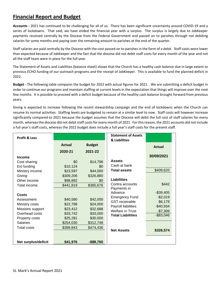# **Financial Report and Budget**

**Accounts -** 2021 has continued to be challenging for all of us. There has been significant uncertainty around COVID-19 and a series of lockdowns. That said, we have ended the financial year with a surplus. The surplus is largely due to JobKeeper payments received centrally by the Diocese from the Federal Government and passed on to parishes through not debiting salaries for some months and paying over the remaining amount to parishes at the end of the quarter.

Staff salaries are paid centrally by the Diocese with the cost passed on to parishes in the form of a debit. Staff costs were lower than expected because of JobKeeper and the fact that the diocese did not debit staff costs for every month of the year and not all the staff team were in place for the full year.

The Statement of Assets and Liabilities (balance sheet) shows that the Church has a healthy cash balance due in large extent to previous ECHO funding of our outreach programs and the receipt of JobKeeper. This is available to fund the planned deficit in 2022.

**Budget -** The following table compares the budget for 2022 with actual figures for 2021. We are submitting a deficit budget in order to continue our programs and maintain staffing at current levels in the expectation that things will improve over the next few months. It is possible to proceed with a deficit budget because of the healthy cash balance brought forward from previous years.

Giving is expected to increase following the recent stewardship campaign and the end of lockdowns when the Church can resume its normal activities. Staffing levels are budgeted to remain at a similar level to now. Staff costs will however increase significantly compared to 2021 because the budget assumes that the Diocese will debit the full cost of staff salaries for every month, whereas the diocese did not debit staff costs for every month of 2021. For this reason, the 2021 accounts did not include a full year's staff costs, whereas the 2022 budget does include a full year's staff costs for the present staff.

| <b>Profit &amp; Loss</b> |               |               | <b>Statement of Assets</b><br>& Liabilities |               |
|--------------------------|---------------|---------------|---------------------------------------------|---------------|
|                          | <b>Actual</b> | <b>Budget</b> |                                             | <b>Actual</b> |
|                          | 2020-21       | 2021-22       |                                             |               |
| <b>Income</b>            |               |               |                                             | 30/09/2021    |
| Cost sharing             | \$0           | \$14,796      | <b>Assets</b>                               |               |
| Ext funding              | \$10,124      | \$0           | Cash at bank                                |               |
| Ministry income          | \$23,597      | \$44,000      | <b>Total assets</b>                         | \$409,620     |
| Giving                   | \$309,206     | \$326,880     |                                             |               |
| Other income             | \$98,892      | \$0           | <b>Liabilities</b>                          |               |
| Total income             | \$441,819     | \$385,676     | Contra accounts                             | \$442         |
|                          |               |               | Payments in                                 |               |
| Costs                    |               |               | Advance                                     | $-$39,405$    |
| Assessment               | \$40,580      | \$42,000      | <b>Emergency Fund</b>                       | $-$2,019$     |
| Ministry costs           | \$22,798      | \$24,000      | <b>GST</b> receivable                       | \$6,179       |
| Missions support         | \$23,412      | \$32,688      | Payroll liabilities                         | $-$40,934$    |
| Overhead costs           | \$33,742      | \$33,000      | <b>Welfare in Trust</b>                     | $-$7,309$     |
| Property costs           | \$25,281      | \$30,000      | <b>Total Liabilities</b>                    | $-$ \$83,046  |
| <b>Salaries</b>          | \$254,030     | \$312,748     |                                             |               |
| Total costs              | \$399,843     | \$474,436     |                                             |               |
|                          |               |               | <b>Net Assets</b>                           | \$326,574     |
|                          |               |               |                                             |               |
| Net surplus/deficit      | \$41,976      | $-$ \$88,760  |                                             |               |